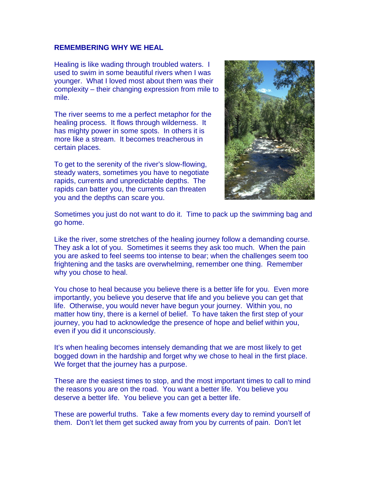## **REMEMBERING WHY WE HEAL**

Healing is like wading through troubled waters. I used to swim in some beautiful rivers when I was younger. What I loved most about them was their complexity – their changing expression from mile t o mile.

The river seems to me a perfect metaphor for the healing process. It flows through wilderness. It has mighty power in some spots. In others it is more like a stream. It becomes treacherous in certain places.

To get to the serenity of the river's slow-flowing, steady waters, sometimes you have to negotiate rapids, currents and unpredictable depths. The rapids can batter you, the currents can threaten you and the depths can scare you.



Sometimes you just do not want to do it. Time to pack up the swimming bag and go home.

Like the river, some stretches of the healing journey follow a demanding course. They ask a lot of you. Sometimes it seems they ask too much. When the pain you are asked to feel seems too intense to bear; when the challenges seem too frightening and the tasks are overwhelming, remember one thing. Remember why you chose to heal.

You chose to heal because you believe there is a better life for you. Even more importantly, you believe you deserve that life and you believe you can get that life. Otherwise, you would never have begun your journey. Within you, no matter how tiny, there is a kernel of belief. To have taken the first step of your journey, you had to acknowledge the presence of hope and belief within you, even if you did it unconsciously.

It's when healing becomes intensely demanding that we are most likely to get bogged down in the hardship and forget why we chose to heal in the first place. We forget that the journey has a purpose.

These are the easiest times to stop, and the most important times to call to mind the reasons you are on the road. You want a better life. You believe you deserve a better life. You believe you can get a better life.

These are powerful truths. Take a few moments every day to remind yourself of them. Don't let them get sucked away from you by currents of pain. Don't let